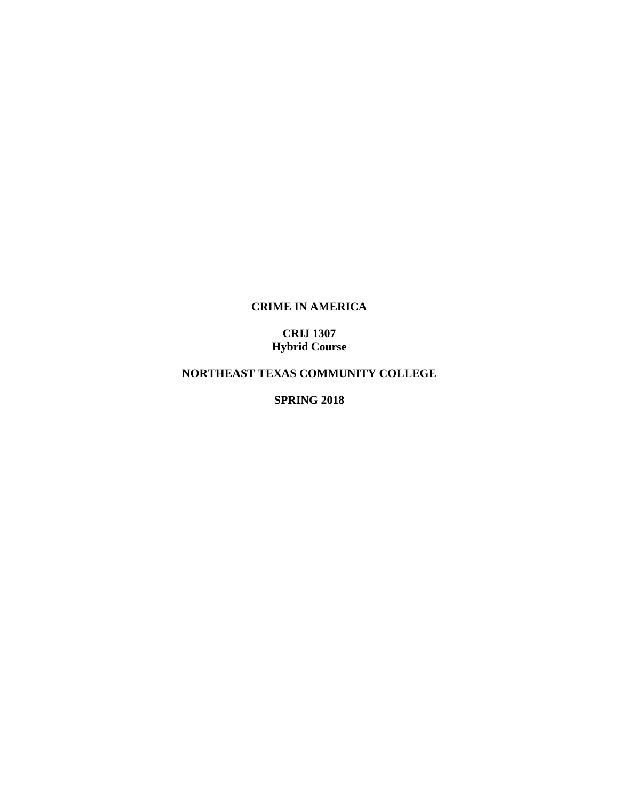## **CRIME IN AMERICA**

## **CRIJ 1307 Hybrid Course**

# **NORTHEAST TEXAS COMMUNITY COLLEGE**

**SPRING 2018**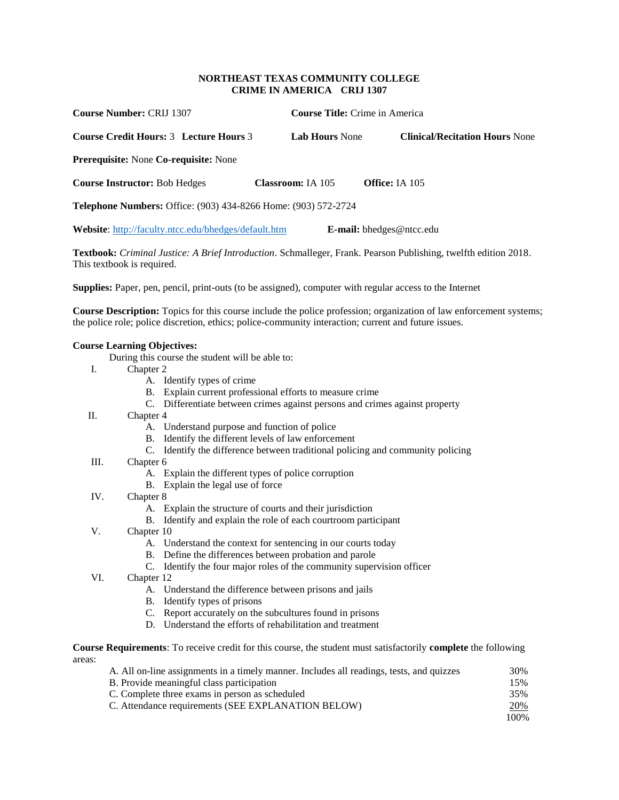### **NORTHEAST TEXAS COMMUNITY COLLEGE CRIME IN AMERICA CRIJ 1307**

| <b>Course Number: CRIJ 1307</b>                                       |                          | <b>Course Title:</b> Crime in America |
|-----------------------------------------------------------------------|--------------------------|---------------------------------------|
| Course Credit Hours: 3 Lecture Hours 3                                | <b>Lab Hours None</b>    | <b>Clinical/Recitation Hours None</b> |
| <b>Prerequisite:</b> None Co-requisite: None                          |                          |                                       |
| <b>Course Instructor: Bob Hedges</b>                                  | <b>Classroom:</b> IA 105 | <b>Office:</b> IA 105                 |
| <b>Telephone Numbers:</b> Office: (903) 434-8266 Home: (903) 572-2724 |                          |                                       |
| <b>Website:</b> http://faculty.ntcc.edu/bhedges/default.htm           |                          | <b>E-mail:</b> bhedges@ntcc.edu       |

**Textbook:** *Criminal Justice: A Brief Introduction*. Schmalleger, Frank. Pearson Publishing, twelfth edition 2018. This textbook is required.

**Supplies:** Paper, pen, pencil, print-outs (to be assigned), computer with regular access to the Internet

**Course Description:** Topics for this course include the police profession; organization of law enforcement systems; the police role; police discretion, ethics; police-community interaction; current and future issues.

### **Course Learning Objectives:**

- During this course the student will be able to:
- I. Chapter 2
	- A. Identify types of crime
	- B. Explain current professional efforts to measure crime
	- C. Differentiate between crimes against persons and crimes against property
- II. Chapter 4
	- A. Understand purpose and function of police
	- B. Identify the different levels of law enforcement
	- C. Identify the difference between traditional policing and community policing
- III. Chapter 6
	- A. Explain the different types of police corruption
	- B. Explain the legal use of force
- IV. Chapter 8
	- A. Explain the structure of courts and their jurisdiction
	- B. Identify and explain the role of each courtroom participant
- V. Chapter 10
	- A. Understand the context for sentencing in our courts today
	- B. Define the differences between probation and parole
	- C. Identify the four major roles of the community supervision officer
- VI. Chapter 12
	- A. Understand the difference between prisons and jails
	- B. Identify types of prisons
	- C. Report accurately on the subcultures found in prisons
	- D. Understand the efforts of rehabilitation and treatment

**Course Requirements**: To receive credit for this course, the student must satisfactorily **complete** the following areas:

| A. All on-line assignments in a timely manner. Includes all readings, tests, and quizzes |      |
|------------------------------------------------------------------------------------------|------|
| B. Provide meaningful class participation                                                |      |
| C. Complete three exams in person as scheduled                                           | 35%  |
| C. Attendance requirements (SEE EXPLANATION BELOW)                                       | 20%  |
|                                                                                          | 100% |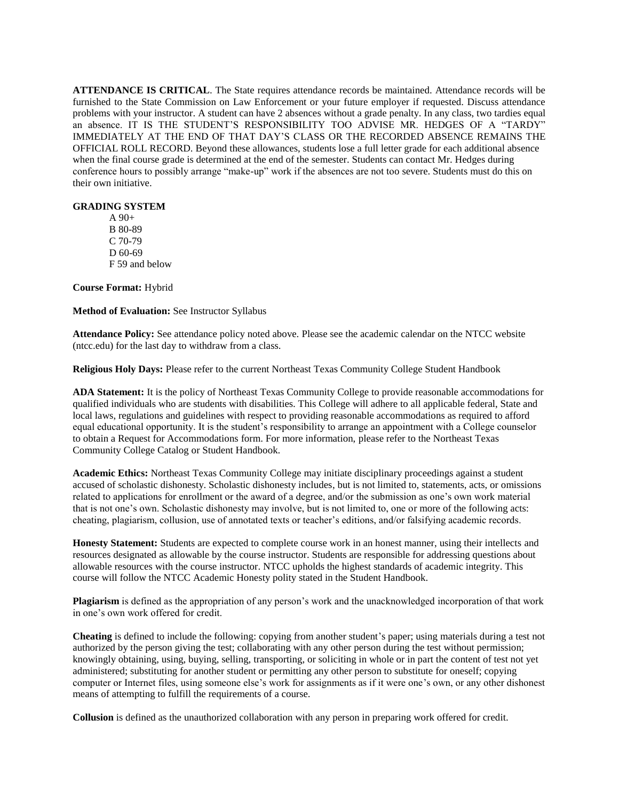**ATTENDANCE IS CRITICAL**. The State requires attendance records be maintained. Attendance records will be furnished to the State Commission on Law Enforcement or your future employer if requested. Discuss attendance problems with your instructor. A student can have 2 absences without a grade penalty. In any class, two tardies equal an absence. IT IS THE STUDENT'S RESPONSIBILITY TOO ADVISE MR. HEDGES OF A "TARDY" IMMEDIATELY AT THE END OF THAT DAY'S CLASS OR THE RECORDED ABSENCE REMAINS THE OFFICIAL ROLL RECORD. Beyond these allowances, students lose a full letter grade for each additional absence when the final course grade is determined at the end of the semester. Students can contact Mr. Hedges during conference hours to possibly arrange "make-up" work if the absences are not too severe. Students must do this on their own initiative.

#### **GRADING SYSTEM**

A 90+ B 80-89 C 70-79 D 60-69 F 59 and below

**Course Format:** Hybrid

**Method of Evaluation:** See Instructor Syllabus

**Attendance Policy:** See attendance policy noted above. Please see the academic calendar on the NTCC website (ntcc.edu) for the last day to withdraw from a class.

**Religious Holy Days:** Please refer to the current Northeast Texas Community College Student Handbook

**ADA Statement:** It is the policy of Northeast Texas Community College to provide reasonable accommodations for qualified individuals who are students with disabilities. This College will adhere to all applicable federal, State and local laws, regulations and guidelines with respect to providing reasonable accommodations as required to afford equal educational opportunity. It is the student's responsibility to arrange an appointment with a College counselor to obtain a Request for Accommodations form. For more information, please refer to the Northeast Texas Community College Catalog or Student Handbook.

**Academic Ethics:** Northeast Texas Community College may initiate disciplinary proceedings against a student accused of scholastic dishonesty. Scholastic dishonesty includes, but is not limited to, statements, acts, or omissions related to applications for enrollment or the award of a degree, and/or the submission as one's own work material that is not one's own. Scholastic dishonesty may involve, but is not limited to, one or more of the following acts: cheating, plagiarism, collusion, use of annotated texts or teacher's editions, and/or falsifying academic records.

**Honesty Statement:** Students are expected to complete course work in an honest manner, using their intellects and resources designated as allowable by the course instructor. Students are responsible for addressing questions about allowable resources with the course instructor. NTCC upholds the highest standards of academic integrity. This course will follow the NTCC Academic Honesty polity stated in the Student Handbook.

**Plagiarism** is defined as the appropriation of any person's work and the unacknowledged incorporation of that work in one's own work offered for credit.

**Cheating** is defined to include the following: copying from another student's paper; using materials during a test not authorized by the person giving the test; collaborating with any other person during the test without permission; knowingly obtaining, using, buying, selling, transporting, or soliciting in whole or in part the content of test not yet administered; substituting for another student or permitting any other person to substitute for oneself; copying computer or Internet files, using someone else's work for assignments as if it were one's own, or any other dishonest means of attempting to fulfill the requirements of a course.

**Collusion** is defined as the unauthorized collaboration with any person in preparing work offered for credit.